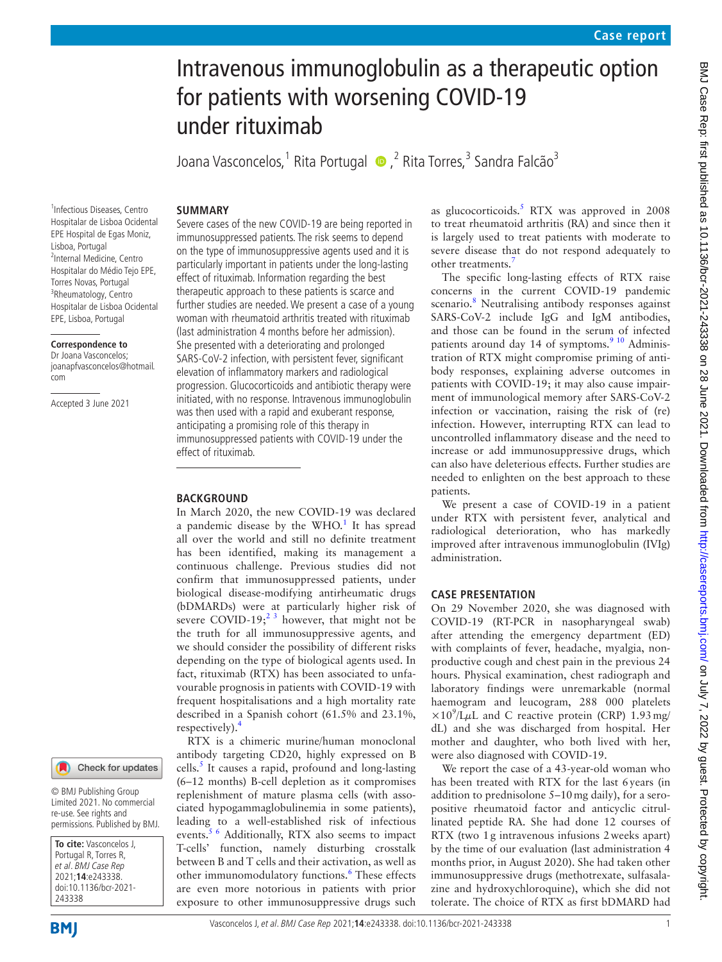# Intravenous immunoglobulin as a therapeutic option for patients with worsening COVID-19 under rituximab

JoanaVasconcelos,<sup>1</sup> Rita Portugal • ,<sup>2</sup> Rita Torres,<sup>3</sup> Sandra Falcão<sup>3</sup>

Severe cases of the new COVID-19 are being reported in immunosuppressed patients. The risk seems to depend on the type of immunosuppressive agents used and it is particularly important in patients under the long-lasting effect of rituximab. Information regarding the best therapeutic approach to these patients is scarce and further studies are needed. We present a case of a young woman with rheumatoid arthritis treated with rituximab (last administration 4 months before her admission). She presented with a deteriorating and prolonged SARS-CoV-2 infection, with persistent fever, significant elevation of inflammatory markers and radiological progression. Glucocorticoids and antibiotic therapy were initiated, with no response. Intravenous immunoglobulin was then used with a rapid and exuberant response, anticipating a promising role of this therapy in immunosuppressed patients with COVID-19 under the

In March 2020, the new COVID-19 was declared a pandemic disease by the  $WHO<sup>1</sup>$  It has spread all over the world and still no definite treatment has been identified, making its management a continuous challenge. Previous studies did not confirm that immunosuppressed patients, under biological disease-modifying antirheumatic drugs (bDMARDs) were at particularly higher risk of severe COVID-19;<sup>2 3</sup> however, that might not be the truth for all immunosuppressive agents, and we should consider the possibility of different risks depending on the type of biological agents used. In fact, rituximab (RTX) has been associated to unfavourable prognosis in patients with COVID-19 with frequent hospitalisations and a high mortality rate described in a Spanish cohort (61.5% and 23.1%,

RTX is a chimeric murine/human monoclonal antibody targeting CD20, highly expressed on B cells.<sup>[5](#page-3-3)</sup> It causes a rapid, profound and long-lasting (6–12 months) B-cell depletion as it compromises replenishment of mature plasma cells (with associated hypogammaglobulinemia in some patients), leading to a well-established risk of infectious events.<sup>[5 6](#page-3-3)</sup> Additionally, RTX also seems to impact T-cells' function, namely disturbing crosstalk between B and T cells and their activation, as well as other immunomodulatory functions.<sup>[6](#page-3-4)</sup> These effects are even more notorious in patients with prior exposure to other immunosuppressive drugs such

#### **SUMMARY**

effect of rituximab.

**BACKGROUND**

respectively).<sup>[4](#page-3-2)</sup>

1 Infectious Diseases, Centro Hospitalar de Lisboa Ocidental EPE Hospital de Egas Moniz, Lisboa, Portugal 2 Internal Medicine, Centro Hospitalar do Médio Tejo EPE, Torres Novas, Portugal <sup>3</sup>Rheumatology, Centro Hospitalar de Lisboa Ocidental EPE, Lisboa, Portugal

#### **Correspondence to**

Dr Joana Vasconcelos; joanapfvasconcelos@hotmail. com

Accepted 3 June 2021



© BMJ Publishing Group Limited 2021. No commercial re-use. See rights and permissions. Published by BMJ.

**To cite:** Vasconcelos J, Portugal R, Torres R, et al. BMJ Case Rep 2021;**14**:e243338. doi:10.1136/bcr-2021- 243338

**BMI** 

Vasconcelos J, et al. BMJ Case Rep 2021;**14**:e243338. doi:10.1136/bcr-2021-243338 1

as glucocorticoids. $5$  RTX was approved in 2008 to treat rheumatoid arthritis (RA) and since then it is largely used to treat patients with moderate to severe disease that do not respond adequately to other treatments.<sup>[7](#page-3-5)</sup>

The specific long-lasting effects of RTX raise concerns in the current COVID-19 pandemic scenario.<sup>[8](#page-3-6)</sup> Neutralising antibody responses against SARS-CoV-2 include IgG and IgM antibodies, and those can be found in the serum of infected patients around day 14 of symptoms. $910$  Administration of RTX might compromise priming of antibody responses, explaining adverse outcomes in patients with COVID-19; it may also cause impairment of immunological memory after SARS-CoV-2 infection or vaccination, raising the risk of (re) infection. However, interrupting RTX can lead to uncontrolled inflammatory disease and the need to increase or add immunosuppressive drugs, which can also have deleterious effects. Further studies are needed to enlighten on the best approach to these patients.

We present a case of COVID-19 in a patient under RTX with persistent fever, analytical and radiological deterioration, who has markedly improved after intravenous immunoglobulin (IVIg) administration.

#### **CASE PRESENTATION**

On 29 November 2020, she was diagnosed with COVID-19 (RT-PCR in nasopharyngeal swab) after attending the emergency department (ED) with complaints of fever, headache, myalgia, nonproductive cough and chest pain in the previous 24 hours. Physical examination, chest radiograph and laboratory findings were unremarkable (normal haemogram and leucogram, 288 000 platelets  $\times 10^{9}$ /L<sub>H</sub>L and C reactive protein (CRP) 1.93 mg/ dL) and she was discharged from hospital. Her mother and daughter, who both lived with her, were also diagnosed with COVID-19.

We report the case of a 43-year-old woman who has been treated with RTX for the last 6years (in addition to prednisolone 5–10mg daily), for a seropositive rheumatoid factor and anticyclic citrullinated peptide RA. She had done 12 courses of RTX (two 1g intravenous infusions 2weeks apart) by the time of our evaluation (last administration 4 months prior, in August 2020). She had taken other immunosuppressive drugs (methotrexate, sulfasalazine and hydroxychloroquine), which she did not tolerate. The choice of RTX as first bDMARD had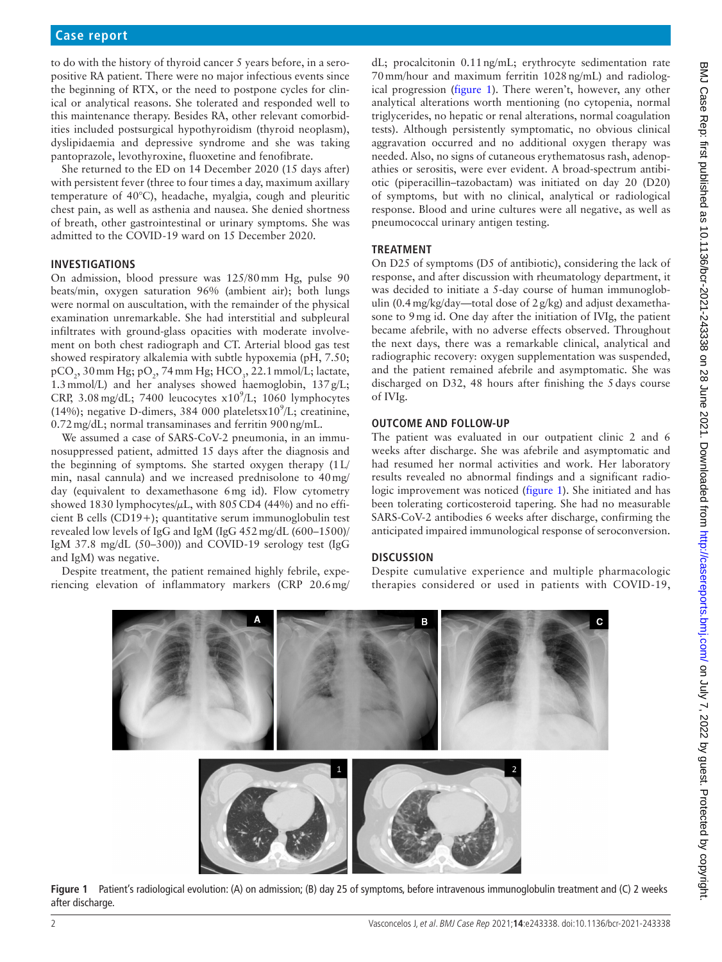#### **Case report**

to do with the history of thyroid cancer 5 years before, in a seropositive RA patient. There were no major infectious events since the beginning of RTX, or the need to postpone cycles for clinical or analytical reasons. She tolerated and responded well to this maintenance therapy. Besides RA, other relevant comorbidities included postsurgical hypothyroidism (thyroid neoplasm), dyslipidaemia and depressive syndrome and she was taking pantoprazole, levothyroxine, fluoxetine and fenofibrate.

She returned to the ED on 14 December 2020 (15 days after) with persistent fever (three to four times a day, maximum axillary temperature of 40°C), headache, myalgia, cough and pleuritic chest pain, as well as asthenia and nausea. She denied shortness of breath, other gastrointestinal or urinary symptoms. She was admitted to the COVID-19 ward on 15 December 2020.

#### **INVESTIGATIONS**

On admission, blood pressure was 125/80mm Hg, pulse 90 beats/min, oxygen saturation 96% (ambient air); both lungs were normal on auscultation, with the remainder of the physical examination unremarkable. She had interstitial and subpleural infiltrates with ground-glass opacities with moderate involvement on both chest radiograph and CT. Arterial blood gas test showed respiratory alkalemia with subtle hypoxemia (pH, 7.50;  $\tt pCO<sub>2</sub>$ , 30 mm Hg;  $\tt pO<sub>2</sub>$ , 74 mm Hg; HCO<sub>3</sub>, 22.1 mmol/L; lactate, 1.3mmol/L) and her analyses showed haemoglobin, 137g/L; CRP, 3.08 mg/dL; 7400 leucocytes  $x10^9$ /L; 1060 lymphocytes (14%); negative D-dimers, 384 000 platelets $x10^9$ /L; creatinine, 0.72mg/dL; normal transaminases and ferritin 900ng/mL.

We assumed a case of SARS-CoV-2 pneumonia, in an immunosuppressed patient, admitted 15 days after the diagnosis and the beginning of symptoms. She started oxygen therapy (1L/ min, nasal cannula) and we increased prednisolone to 40mg/ day (equivalent to dexamethasone 6mg id). Flow cytometry showed 1830 lymphocytes/ $\mu$ L, with 805 CD4 (44%) and no efficient B cells (CD19+); quantitative serum immunoglobulin test revealed low levels of IgG and IgM (IgG 452mg/dL (600–1500)/ IgM 37.8 mg/dL (50–300)) and COVID-19 serology test (IgG and IgM) was negative.

Despite treatment, the patient remained highly febrile, experiencing elevation of inflammatory markers (CRP 20.6mg/

dL; procalcitonin 0.11ng/mL; erythrocyte sedimentation rate 70mm/hour and maximum ferritin 1028ng/mL) and radiological progression ([figure](#page-1-0) 1). There weren't, however, any other analytical alterations worth mentioning (no cytopenia, normal triglycerides, no hepatic or renal alterations, normal coagulation tests). Although persistently symptomatic, no obvious clinical aggravation occurred and no additional oxygen therapy was needed. Also, no signs of cutaneous erythematosus rash, adenopathies or serositis, were ever evident. A broad-spectrum antibiotic (piperacillin–tazobactam) was initiated on day 20 (D20) of symptoms, but with no clinical, analytical or radiological response. Blood and urine cultures were all negative, as well as pneumococcal urinary antigen testing.

#### **TREATMENT**

On D25 of symptoms (D5 of antibiotic), considering the lack of response, and after discussion with rheumatology department, it was decided to initiate a 5-day course of human immunoglobulin (0.4mg/kg/day—total dose of 2g/kg) and adjust dexamethasone to 9mg id. One day after the initiation of IVIg, the patient became afebrile, with no adverse effects observed. Throughout the next days, there was a remarkable clinical, analytical and radiographic recovery: oxygen supplementation was suspended, and the patient remained afebrile and asymptomatic. She was discharged on D32, 48 hours after finishing the 5days course of IVIg.

#### **OUTCOME AND FOLLOW-UP**

The patient was evaluated in our outpatient clinic 2 and 6 weeks after discharge. She was afebrile and asymptomatic and had resumed her normal activities and work. Her laboratory results revealed no abnormal findings and a significant radiologic improvement was noticed ([figure](#page-1-0) 1). She initiated and has been tolerating corticosteroid tapering. She had no measurable SARS-CoV-2 antibodies 6 weeks after discharge, confirming the anticipated impaired immunological response of seroconversion.

#### **DISCUSSION**

Despite cumulative experience and multiple pharmacologic therapies considered or used in patients with COVID-19,



<span id="page-1-0"></span>**Figure 1** Patient's radiological evolution: (A) on admission; (B) day 25 of symptoms, before intravenous immunoglobulin treatment and (C) 2 weeks after discharge.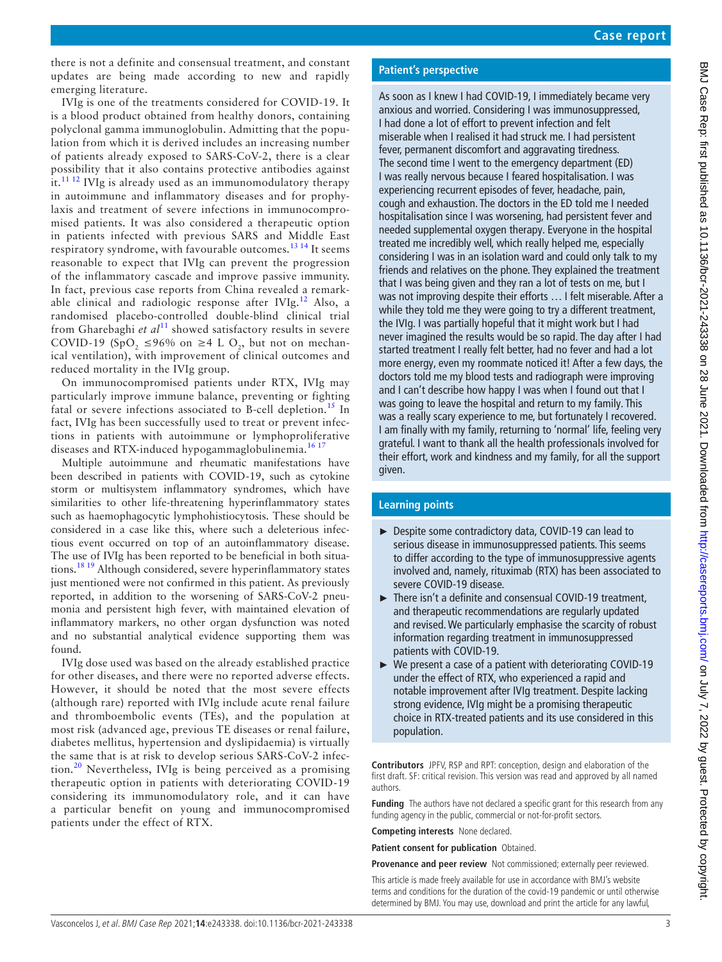there is not a definite and consensual treatment, and constant updates are being made according to new and rapidly emerging literature.

IVIg is one of the treatments considered for COVID-19. It is a blood product obtained from healthy donors, containing polyclonal gamma immunoglobulin. Admitting that the population from which it is derived includes an increasing number of patients already exposed to SARS-CoV-2, there is a clear possibility that it also contains protective antibodies against it.<sup>[11 12](#page-3-8)</sup> IVIg is already used as an immunomodulatory therapy in autoimmune and inflammatory diseases and for prophylaxis and treatment of severe infections in immunocompromised patients. It was also considered a therapeutic option in patients infected with previous SARS and Middle East respiratory syndrome, with favourable outcomes.<sup>13 14</sup> It seems reasonable to expect that IVIg can prevent the progression of the inflammatory cascade and improve passive immunity. In fact, previous case reports from China revealed a remark-able clinical and radiologic response after IVIg.<sup>[12](#page-3-10)</sup> Also, a randomised placebo-controlled double-blind clinical trial from Gharebaghi *et al*<sup>[11](#page-3-8)</sup> showed satisfactory results in severe COVID-19 (SpO<sub>2</sub> ≤96% on ≥4 L O<sub>2</sub>, but not on mechanical ventilation), with improvement of clinical outcomes and reduced mortality in the IVIg group.

On immunocompromised patients under RTX, IVIg may particularly improve immune balance, preventing or fighting fatal or severe infections associated to B-cell depletion.<sup>15</sup> In fact, IVIg has been successfully used to treat or prevent infections in patients with autoimmune or lymphoproliferative diseases and RTX-induced hypogammaglobulinemia.<sup>[16 17](#page-3-12)</sup>

Multiple autoimmune and rheumatic manifestations have been described in patients with COVID-19, such as cytokine storm or multisystem inflammatory syndromes, which have similarities to other life-threatening hyperinflammatory states such as haemophagocytic lymphohistiocytosis. These should be considered in a case like this, where such a deleterious infectious event occurred on top of an autoinflammatory disease. The use of IVIg has been reported to be beneficial in both situations.[18 19](#page-3-13) Although considered, severe hyperinflammatory states just mentioned were not confirmed in this patient. As previously reported, in addition to the worsening of SARS-CoV-2 pneumonia and persistent high fever, with maintained elevation of inflammatory markers, no other organ dysfunction was noted and no substantial analytical evidence supporting them was found.

IVIg dose used was based on the already established practice for other diseases, and there were no reported adverse effects. However, it should be noted that the most severe effects (although rare) reported with IVIg include acute renal failure and thromboembolic events (TEs), and the population at most risk (advanced age, previous TE diseases or renal failure, diabetes mellitus, hypertension and dyslipidaemia) is virtually the same that is at risk to develop serious SARS-CoV-2 infec- $\frac{10}{20}$  Nevertheless, IVIg is being perceived as a promising therapeutic option in patients with deteriorating COVID-19 considering its immunomodulatory role, and it can have a particular benefit on young and immunocompromised patients under the effect of RTX.

#### **Patient's perspective**

As soon as I knew I had COVID-19, I immediately became very anxious and worried. Considering I was immunosuppressed, I had done a lot of effort to prevent infection and felt miserable when I realised it had struck me. I had persistent fever, permanent discomfort and aggravating tiredness. The second time I went to the emergency department (ED) I was really nervous because I feared hospitalisation. I was experiencing recurrent episodes of fever, headache, pain, cough and exhaustion. The doctors in the ED told me I needed hospitalisation since I was worsening, had persistent fever and needed supplemental oxygen therapy. Everyone in the hospital treated me incredibly well, which really helped me, especially considering I was in an isolation ward and could only talk to my friends and relatives on the phone. They explained the treatment that I was being given and they ran a lot of tests on me, but I was not improving despite their efforts … I felt miserable. After a while they told me they were going to try a different treatment, the IVIg. I was partially hopeful that it might work but I had never imagined the results would be so rapid. The day after I had started treatment I really felt better, had no fever and had a lot more energy, even my roommate noticed it! After a few days, the doctors told me my blood tests and radiograph were improving and I can't describe how happy I was when I found out that I was going to leave the hospital and return to my family. This was a really scary experience to me, but fortunately I recovered. I am finally with my family, returning to 'normal' life, feeling very grateful. I want to thank all the health professionals involved for their effort, work and kindness and my family, for all the support given.

#### **Learning points**

- ► Despite some contradictory data, COVID-19 can lead to serious disease in immunosuppressed patients. This seems to differ according to the type of immunosuppressive agents involved and, namely, rituximab (RTX) has been associated to severe COVID-19 disease.
- ► There isn't a definite and consensual COVID-19 treatment, and therapeutic recommendations are regularly updated and revised. We particularly emphasise the scarcity of robust information regarding treatment in immunosuppressed patients with COVID-19.
- ► We present a case of a patient with deteriorating COVID-19 under the effect of RTX, who experienced a rapid and notable improvement after IVIg treatment. Despite lacking strong evidence, IVIg might be a promising therapeutic choice in RTX-treated patients and its use considered in this population.

**Contributors** JPFV, RSP and RPT: conception, design and elaboration of the first draft. SF: critical revision. This version was read and approved by all named authors.

**Funding** The authors have not declared a specific grant for this research from any funding agency in the public, commercial or not-for-profit sectors.

**Competing interests** None declared.

**Patient consent for publication** Obtained.

**Provenance and peer review** Not commissioned; externally peer reviewed.

This article is made freely available for use in accordance with BMJ's website terms and conditions for the duration of the covid-19 pandemic or until otherwise determined by BMJ. You may use, download and print the article for any lawful,